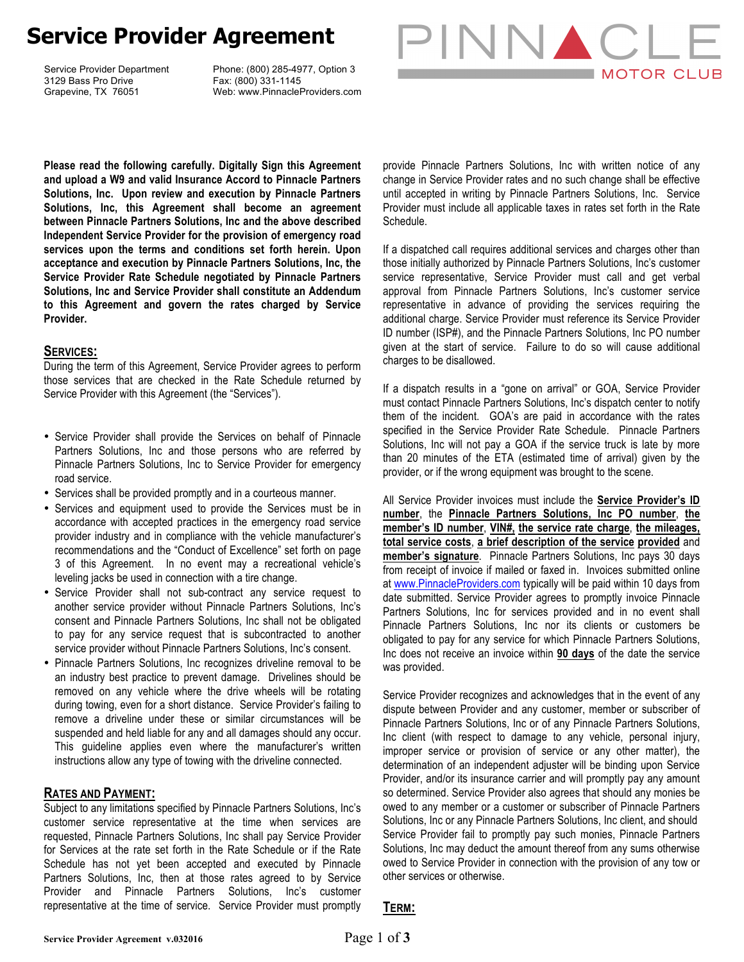# **Service Provider Agreement**

Service Provider Department 3129 Bass Pro Drive Grapevine, TX 76051

Phone: (800) 285-4977, Option 3 Fax: (800) 331-1145 Web: www.PinnacleProviders.com



**Please read the following carefully. Digitally Sign this Agreement and upload a W9 and valid Insurance Accord to Pinnacle Partners Solutions, Inc. Upon review and execution by Pinnacle Partners Solutions, Inc, this Agreement shall become an agreement between Pinnacle Partners Solutions, Inc and the above described Independent Service Provider for the provision of emergency road services upon the terms and conditions set forth herein. Upon acceptance and execution by Pinnacle Partners Solutions, Inc, the Service Provider Rate Schedule negotiated by Pinnacle Partners Solutions, Inc and Service Provider shall constitute an Addendum to this Agreement and govern the rates charged by Service Provider.**

### **SERVICES:**

During the term of this Agreement, Service Provider agrees to perform those services that are checked in the Rate Schedule returned by Service Provider with this Agreement (the "Services").

- Service Provider shall provide the Services on behalf of Pinnacle Partners Solutions, Inc and those persons who are referred by Pinnacle Partners Solutions, Inc to Service Provider for emergency road service.
- Services shall be provided promptly and in a courteous manner.
- Services and equipment used to provide the Services must be in accordance with accepted practices in the emergency road service provider industry and in compliance with the vehicle manufacturer's recommendations and the "Conduct of Excellence" set forth on page 3 of this Agreement. In no event may a recreational vehicle's leveling jacks be used in connection with a tire change.
- Service Provider shall not sub-contract any service request to another service provider without Pinnacle Partners Solutions, Inc's consent and Pinnacle Partners Solutions, Inc shall not be obligated to pay for any service request that is subcontracted to another service provider without Pinnacle Partners Solutions, Inc's consent.
- Pinnacle Partners Solutions, Inc recognizes driveline removal to be an industry best practice to prevent damage. Drivelines should be removed on any vehicle where the drive wheels will be rotating during towing, even for a short distance. Service Provider's failing to remove a driveline under these or similar circumstances will be suspended and held liable for any and all damages should any occur. This guideline applies even where the manufacturer's written instructions allow any type of towing with the driveline connected.

### **RATES AND PAYMENT:**

Subject to any limitations specified by Pinnacle Partners Solutions, Inc's customer service representative at the time when services are requested, Pinnacle Partners Solutions, Inc shall pay Service Provider for Services at the rate set forth in the Rate Schedule or if the Rate Schedule has not yet been accepted and executed by Pinnacle Partners Solutions, Inc, then at those rates agreed to by Service Provider and Pinnacle Partners Solutions, Inc's customer representative at the time of service. Service Provider must promptly

provide Pinnacle Partners Solutions, Inc with written notice of any change in Service Provider rates and no such change shall be effective until accepted in writing by Pinnacle Partners Solutions, Inc. Service Provider must include all applicable taxes in rates set forth in the Rate Schedule.

If a dispatched call requires additional services and charges other than those initially authorized by Pinnacle Partners Solutions, Inc's customer service representative, Service Provider must call and get verbal approval from Pinnacle Partners Solutions, Inc's customer service representative in advance of providing the services requiring the additional charge. Service Provider must reference its Service Provider ID number (ISP#), and the Pinnacle Partners Solutions, Inc PO number given at the start of service. Failure to do so will cause additional charges to be disallowed.

If a dispatch results in a "gone on arrival" or GOA, Service Provider must contact Pinnacle Partners Solutions, Inc's dispatch center to notify them of the incident. GOA's are paid in accordance with the rates specified in the Service Provider Rate Schedule. Pinnacle Partners Solutions, Inc will not pay a GOA if the service truck is late by more than 20 minutes of the ETA (estimated time of arrival) given by the provider, or if the wrong equipment was brought to the scene.

All Service Provider invoices must include the **Service Provider's ID number**, the **Pinnacle Partners Solutions, Inc PO number**, **the member's ID number**, **VIN#, the service rate charge**, **the mileages, total service costs**, **a brief description of the service provided** and **member's signature**. Pinnacle Partners Solutions, Inc pays 30 days from receipt of invoice if mailed or faxed in. Invoices submitted online at www.PinnacleProviders.com typically will be paid within 10 days from date submitted. Service Provider agrees to promptly invoice Pinnacle Partners Solutions, Inc for services provided and in no event shall Pinnacle Partners Solutions, Inc nor its clients or customers be obligated to pay for any service for which Pinnacle Partners Solutions, Inc does not receive an invoice within **90 days** of the date the service was provided.

Service Provider recognizes and acknowledges that in the event of any dispute between Provider and any customer, member or subscriber of Pinnacle Partners Solutions, Inc or of any Pinnacle Partners Solutions, Inc client (with respect to damage to any vehicle, personal injury, improper service or provision of service or any other matter), the determination of an independent adjuster will be binding upon Service Provider, and/or its insurance carrier and will promptly pay any amount so determined. Service Provider also agrees that should any monies be owed to any member or a customer or subscriber of Pinnacle Partners Solutions, Inc or any Pinnacle Partners Solutions, Inc client, and should Service Provider fail to promptly pay such monies, Pinnacle Partners Solutions, Inc may deduct the amount thereof from any sums otherwise owed to Service Provider in connection with the provision of any tow or other services or otherwise.

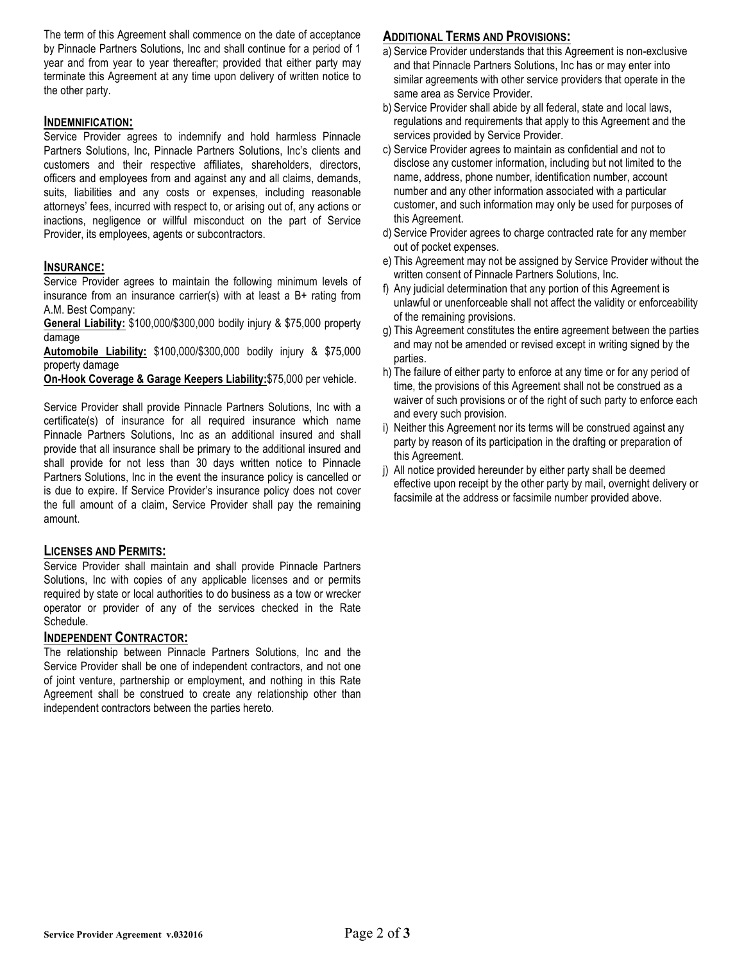The term of this Agreement shall commence on the date of acceptance by Pinnacle Partners Solutions, Inc and shall continue for a period of 1 year and from year to year thereafter; provided that either party may terminate this Agreement at any time upon delivery of written notice to the other party.

### **INDEMNIFICATION:**

Service Provider agrees to indemnify and hold harmless Pinnacle Partners Solutions, Inc, Pinnacle Partners Solutions, Inc's clients and customers and their respective affiliates, shareholders, directors, officers and employees from and against any and all claims, demands, suits, liabilities and any costs or expenses, including reasonable attorneys' fees, incurred with respect to, or arising out of, any actions or inactions, negligence or willful misconduct on the part of Service Provider, its employees, agents or subcontractors.

# **INSURANCE:**

Service Provider agrees to maintain the following minimum levels of insurance from an insurance carrier(s) with at least a B+ rating from A.M. Best Company:

**General Liability:** \$100,000/\$300,000 bodily injury & \$75,000 property damage

**Automobile Liability:** \$100,000/\$300,000 bodily injury & \$75,000 property damage

**On-Hook Coverage & Garage Keepers Liability:**\$75,000 per vehicle.

Service Provider shall provide Pinnacle Partners Solutions, Inc with a certificate(s) of insurance for all required insurance which name Pinnacle Partners Solutions, Inc as an additional insured and shall provide that all insurance shall be primary to the additional insured and shall provide for not less than 30 days written notice to Pinnacle Partners Solutions, Inc in the event the insurance policy is cancelled or is due to expire. If Service Provider's insurance policy does not cover the full amount of a claim, Service Provider shall pay the remaining amount.

### **LICENSES AND PERMITS:**

Service Provider shall maintain and shall provide Pinnacle Partners Solutions, Inc with copies of any applicable licenses and or permits required by state or local authorities to do business as a tow or wrecker operator or provider of any of the services checked in the Rate Schedule.

### **INDEPENDENT CONTRACTOR:**

The relationship between Pinnacle Partners Solutions, Inc and the Service Provider shall be one of independent contractors, and not one of joint venture, partnership or employment, and nothing in this Rate Agreement shall be construed to create any relationship other than independent contractors between the parties hereto.

# **ADDITIONAL TERMS AND PROVISIONS:**

- a) Service Provider understands that this Agreement is non-exclusive and that Pinnacle Partners Solutions, Inc has or may enter into similar agreements with other service providers that operate in the same area as Service Provider.
- b) Service Provider shall abide by all federal, state and local laws, regulations and requirements that apply to this Agreement and the services provided by Service Provider.
- c) Service Provider agrees to maintain as confidential and not to disclose any customer information, including but not limited to the name, address, phone number, identification number, account number and any other information associated with a particular customer, and such information may only be used for purposes of this Agreement.
- d) Service Provider agrees to charge contracted rate for any member out of pocket expenses.
- e) This Agreement may not be assigned by Service Provider without the written consent of Pinnacle Partners Solutions, Inc.
- f) Any judicial determination that any portion of this Agreement is unlawful or unenforceable shall not affect the validity or enforceability of the remaining provisions.
- g) This Agreement constitutes the entire agreement between the parties and may not be amended or revised except in writing signed by the parties.
- h) The failure of either party to enforce at any time or for any period of time, the provisions of this Agreement shall not be construed as a waiver of such provisions or of the right of such party to enforce each and every such provision.
- i) Neither this Agreement nor its terms will be construed against any party by reason of its participation in the drafting or preparation of this Agreement.
- j) All notice provided hereunder by either party shall be deemed effective upon receipt by the other party by mail, overnight delivery or facsimile at the address or facsimile number provided above.